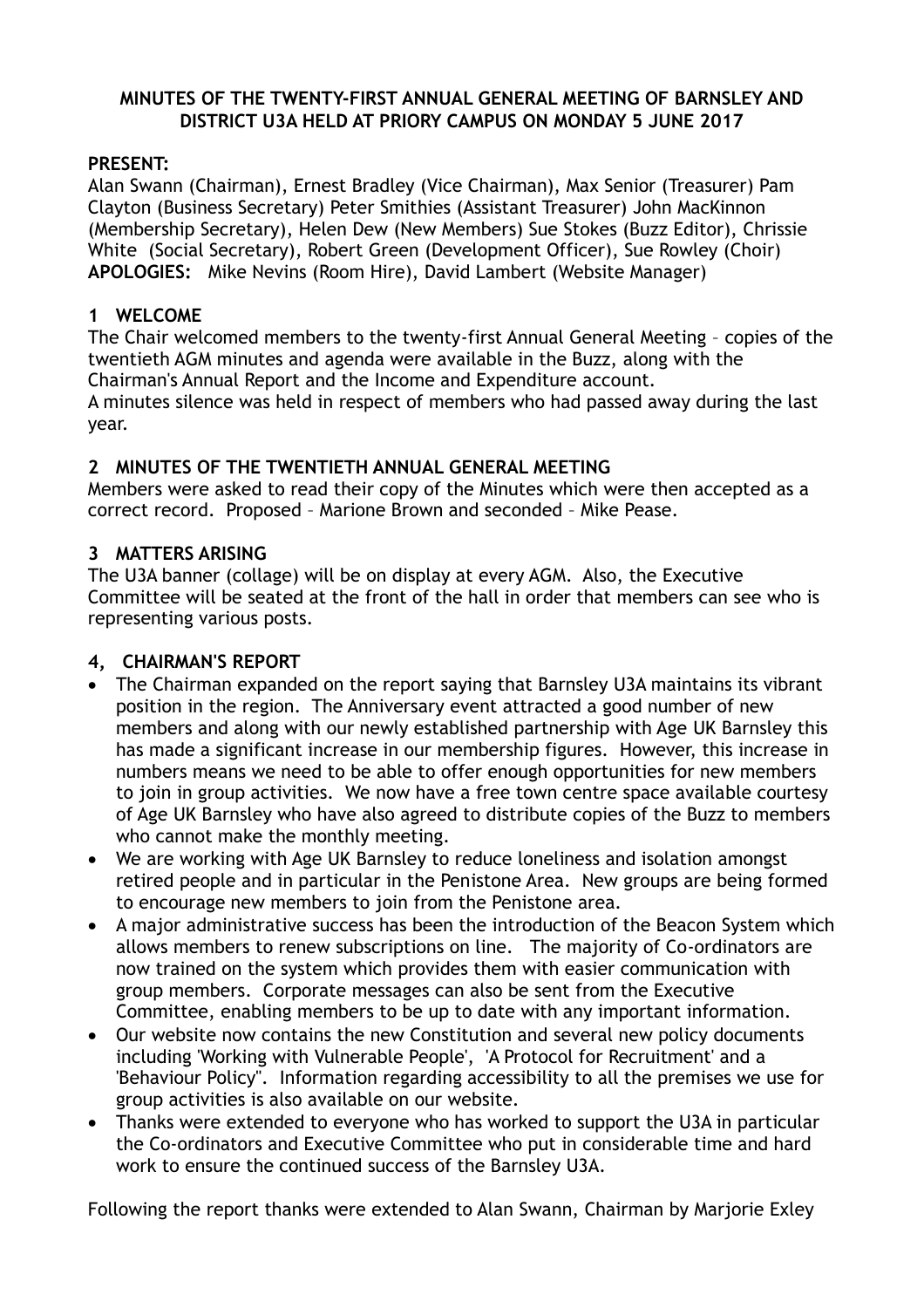#### **MINUTES OF THE TWENTY-FIRST ANNUAL GENERAL MEETING OF BARNSLEY AND DISTRICT U3A HELD AT PRIORY CAMPUS ON MONDAY 5 JUNE 2017**

#### **PRESENT:**

Alan Swann (Chairman), Ernest Bradley (Vice Chairman), Max Senior (Treasurer) Pam Clayton (Business Secretary) Peter Smithies (Assistant Treasurer) John MacKinnon (Membership Secretary), Helen Dew (New Members) Sue Stokes (Buzz Editor), Chrissie White (Social Secretary), Robert Green (Development Officer), Sue Rowley (Choir) **APOLOGIES:** Mike Nevins (Room Hire), David Lambert (Website Manager)

#### **1 WELCOME**

The Chair welcomed members to the twenty-first Annual General Meeting – copies of the twentieth AGM minutes and agenda were available in the Buzz, along with the Chairman's Annual Report and the Income and Expenditure account. A minutes silence was held in respect of members who had passed away during the last year.

#### **2 MINUTES OF THE TWENTIETH ANNUAL GENERAL MEETING**

Members were asked to read their copy of the Minutes which were then accepted as a correct record. Proposed – Marione Brown and seconded – Mike Pease.

#### **3 MATTERS ARISING**

The U3A banner (collage) will be on display at every AGM. Also, the Executive Committee will be seated at the front of the hall in order that members can see who is representing various posts.

#### **4, CHAIRMAN'S REPORT**

- The Chairman expanded on the report saying that Barnsley U3A maintains its vibrant position in the region. The Anniversary event attracted a good number of new members and along with our newly established partnership with Age UK Barnsley this has made a significant increase in our membership figures. However, this increase in numbers means we need to be able to offer enough opportunities for new members to join in group activities. We now have a free town centre space available courtesy of Age UK Barnsley who have also agreed to distribute copies of the Buzz to members who cannot make the monthly meeting.
- We are working with Age UK Barnsley to reduce loneliness and isolation amongst retired people and in particular in the Penistone Area. New groups are being formed to encourage new members to join from the Penistone area.
- A major administrative success has been the introduction of the Beacon System which allows members to renew subscriptions on line. The majority of Co-ordinators are now trained on the system which provides them with easier communication with group members. Corporate messages can also be sent from the Executive Committee, enabling members to be up to date with any important information.
- Our website now contains the new Constitution and several new policy documents including 'Working with Vulnerable People', 'A Protocol for Recruitment' and a 'Behaviour Policy''. Information regarding accessibility to all the premises we use for group activities is also available on our website.
- Thanks were extended to everyone who has worked to support the U3A in particular the Co-ordinators and Executive Committee who put in considerable time and hard work to ensure the continued success of the Barnsley U3A.

Following the report thanks were extended to Alan Swann, Chairman by Marjorie Exley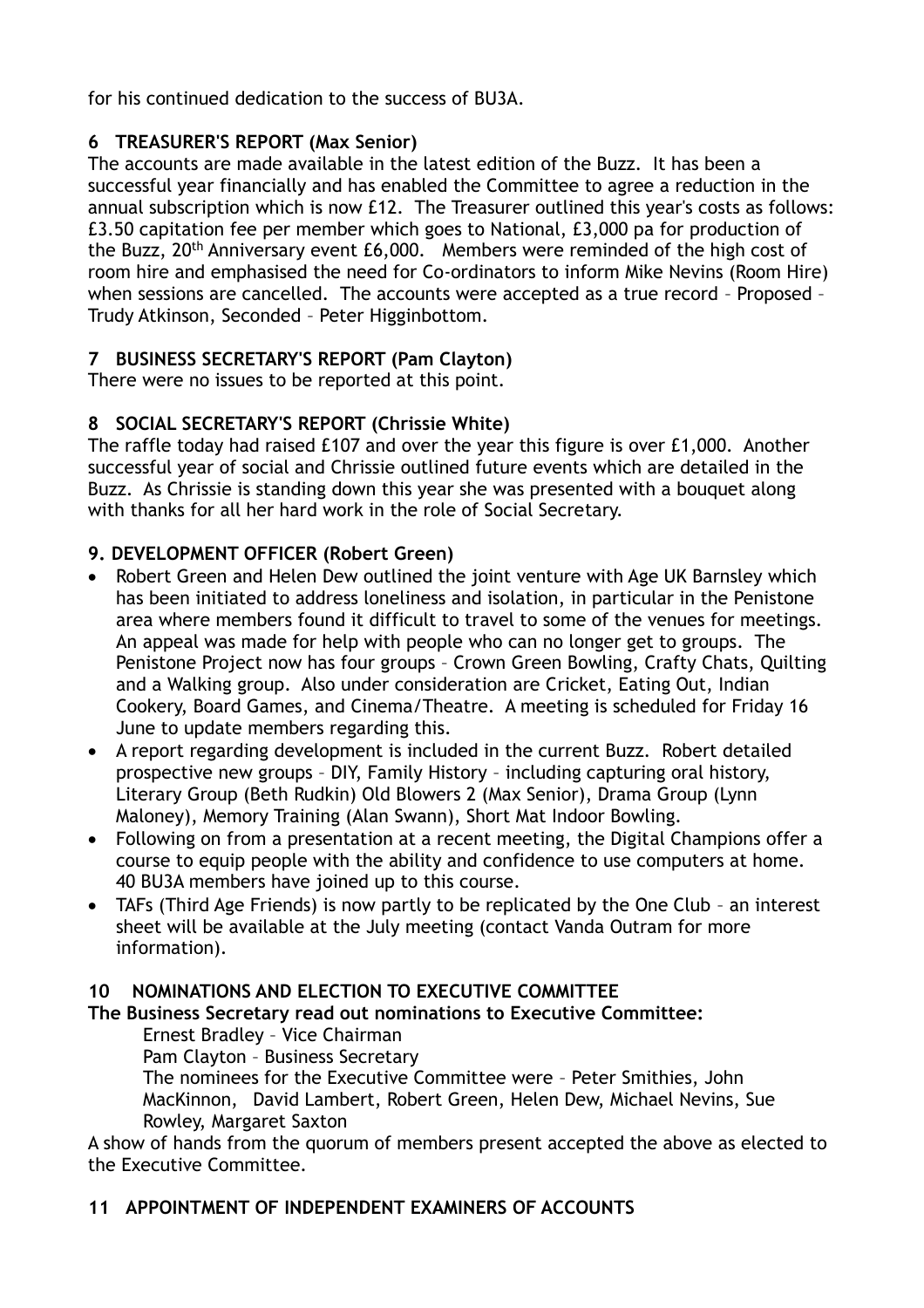for his continued dedication to the success of BU3A.

### **6 TREASURER'S REPORT (Max Senior)**

The accounts are made available in the latest edition of the Buzz. It has been a successful year financially and has enabled the Committee to agree a reduction in the annual subscription which is now £12. The Treasurer outlined this year's costs as follows: £3.50 capitation fee per member which goes to National, £3,000 pa for production of the Buzz, 20th Anniversary event £6,000. Members were reminded of the high cost of room hire and emphasised the need for Co-ordinators to inform Mike Nevins (Room Hire) when sessions are cancelled. The accounts were accepted as a true record – Proposed – Trudy Atkinson, Seconded – Peter Higginbottom.

# **7 BUSINESS SECRETARY'S REPORT (Pam Clayton)**

There were no issues to be reported at this point.

## **8 SOCIAL SECRETARY'S REPORT (Chrissie White)**

The raffle today had raised £107 and over the year this figure is over £1,000. Another successful year of social and Chrissie outlined future events which are detailed in the Buzz. As Chrissie is standing down this year she was presented with a bouquet along with thanks for all her hard work in the role of Social Secretary.

## **9. DEVELOPMENT OFFICER (Robert Green)**

- Robert Green and Helen Dew outlined the joint venture with Age UK Barnsley which has been initiated to address loneliness and isolation, in particular in the Penistone area where members found it difficult to travel to some of the venues for meetings. An appeal was made for help with people who can no longer get to groups. The Penistone Project now has four groups – Crown Green Bowling, Crafty Chats, Quilting and a Walking group. Also under consideration are Cricket, Eating Out, Indian Cookery, Board Games, and Cinema/Theatre. A meeting is scheduled for Friday 16 June to update members regarding this.
- A report regarding development is included in the current Buzz. Robert detailed prospective new groups – DIY, Family History – including capturing oral history, Literary Group (Beth Rudkin) Old Blowers 2 (Max Senior), Drama Group (Lynn Maloney), Memory Training (Alan Swann), Short Mat Indoor Bowling.
- Following on from a presentation at a recent meeting, the Digital Champions offer a course to equip people with the ability and confidence to use computers at home. 40 BU3A members have joined up to this course.
- TAFs (Third Age Friends) is now partly to be replicated by the One Club an interest sheet will be available at the July meeting (contact Vanda Outram for more information).

## **10 NOMINATIONS AND ELECTION TO EXECUTIVE COMMITTEE**

### **The Business Secretary read out nominations to Executive Committee:**

### Ernest Bradley – Vice Chairman

Pam Clayton – Business Secretary

The nominees for the Executive Committee were – Peter Smithies, John MacKinnon, David Lambert, Robert Green, Helen Dew, Michael Nevins, Sue Rowley, Margaret Saxton

A show of hands from the quorum of members present accepted the above as elected to the Executive Committee.

## **11 APPOINTMENT OF INDEPENDENT EXAMINERS OF ACCOUNTS**